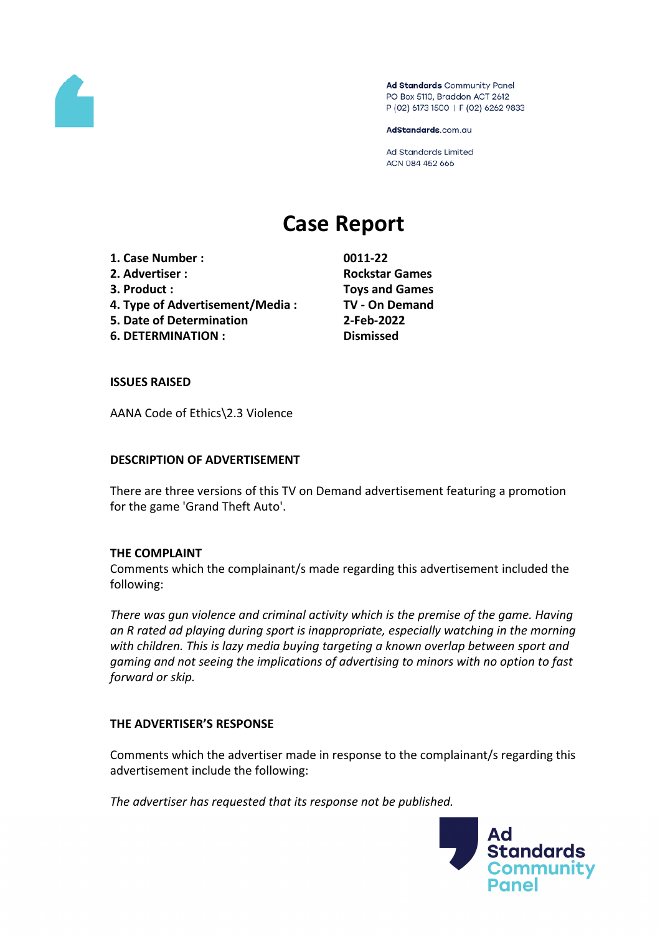

Ad Standards Community Panel PO Box 5110, Braddon ACT 2612 P (02) 6173 1500 | F (02) 6262 9833

AdStandards.com.au

Ad Standards Limited ACN 084 452 666

# **Case Report**

**1. Case Number : 0011-22 2. Advertiser : Rockstar Games 3. Product : Toys and Games 4. Type of Advertisement/Media : TV - On Demand 5. Date of Determination 2-Feb-2022 6. DETERMINATION : Dismissed**

## **ISSUES RAISED**

AANA Code of Ethics\2.3 Violence

## **DESCRIPTION OF ADVERTISEMENT**

There are three versions of this TV on Demand advertisement featuring a promotion for the game 'Grand Theft Auto'.

#### **THE COMPLAINT**

Comments which the complainant/s made regarding this advertisement included the following:

*There was gun violence and criminal activity which is the premise of the game. Having an R rated ad playing during sport is inappropriate, especially watching in the morning with children. This is lazy media buying targeting a known overlap between sport and gaming and not seeing the implications of advertising to minors with no option to fast forward or skip.*

## **THE ADVERTISER'S RESPONSE**

Comments which the advertiser made in response to the complainant/s regarding this advertisement include the following:

*The advertiser has requested that its response not be published.*

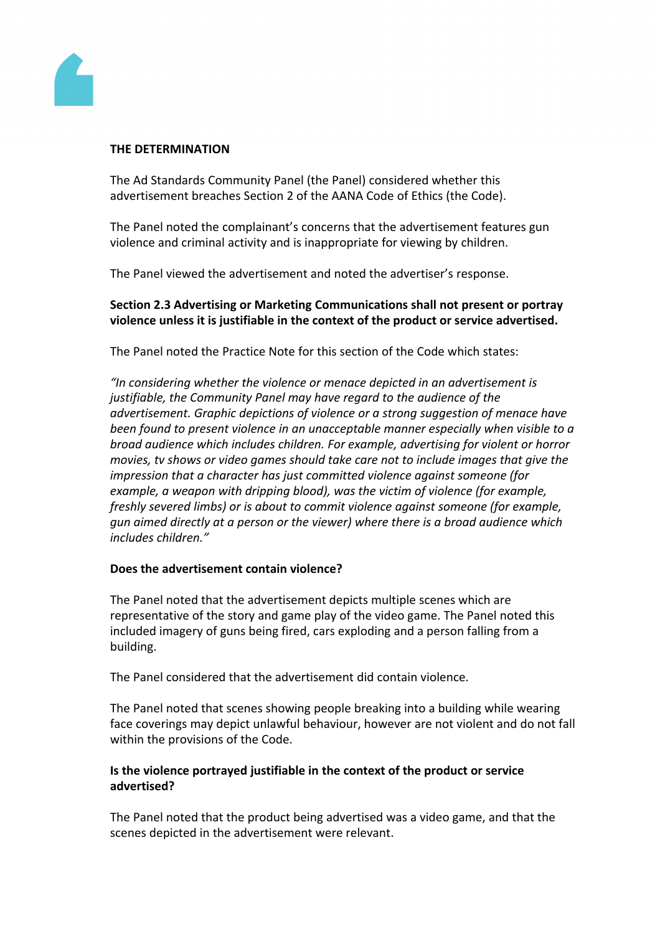

## **THE DETERMINATION**

The Ad Standards Community Panel (the Panel) considered whether this advertisement breaches Section 2 of the AANA Code of Ethics (the Code).

The Panel noted the complainant's concerns that the advertisement features gun violence and criminal activity and is inappropriate for viewing by children.

The Panel viewed the advertisement and noted the advertiser's response.

# **Section 2.3 Advertising or Marketing Communications shall not present or portray violence unless it is justifiable in the context of the product or service advertised.**

The Panel noted the Practice Note for this section of the Code which states:

*"In considering whether the violence or menace depicted in an advertisement is justifiable, the Community Panel may have regard to the audience of the advertisement. Graphic depictions of violence or a strong suggestion of menace have been found to present violence in an unacceptable manner especially when visible to a broad audience which includes children. For example, advertising for violent or horror movies, tv shows or video games should take care not to include images that give the impression that a character has just committed violence against someone (for example, a weapon with dripping blood), was the victim of violence (for example, freshly severed limbs) or is about to commit violence against someone (for example, gun aimed directly at a person or the viewer) where there is a broad audience which includes children."*

## **Does the advertisement contain violence?**

The Panel noted that the advertisement depicts multiple scenes which are representative of the story and game play of the video game. The Panel noted this included imagery of guns being fired, cars exploding and a person falling from a building.

The Panel considered that the advertisement did contain violence.

The Panel noted that scenes showing people breaking into a building while wearing face coverings may depict unlawful behaviour, however are not violent and do not fall within the provisions of the Code.

# **Is the violence portrayed justifiable in the context of the product or service advertised?**

The Panel noted that the product being advertised was a video game, and that the scenes depicted in the advertisement were relevant.